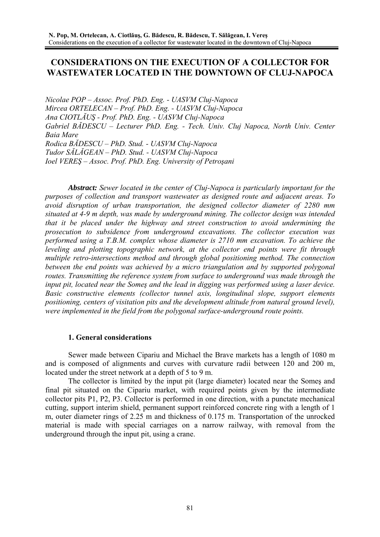# **CONSIDERATIONS ON THE EXECUTION OF A COLLECTOR FOR WASTEWATER LOCATED IN THE DOWNTOWN OF CLUJ-NAPOCA**

*Nicolae POP – Assoc. Prof. PhD. Eng. - UASVM Cluj-Napoca Mircea ORTELECAN – Prof. PhD. Eng. - UASVM Cluj-Napoca Ana CIOTLĂUŞ - Prof. PhD. Eng. - UASVM Cluj-Napoca Gabriel BĂDESCU – Lecturer PhD. Eng. - Tech. Univ. Cluj Napoca, North Univ. Center Baia Mare Rodica BĂDESCU – PhD. Stud. - UASVM Cluj-Napoca Tudor SĂLĂGEAN – PhD. Stud. - UASVM Cluj-Napoca Ioel VEREŞ – Assoc. Prof. PhD. Eng. University of Petroşani* 

*Abstract: Sewer located in the center of Cluj-Napoca is particularly important for the purposes of collection and transport wastewater as designed route and adjacent areas. To avoid disruption of urban transportation, the designed collector diameter of 2280 mm situated at 4-9 m depth, was made by underground mining. The collector design was intended that it be placed under the highway and street construction to avoid undermining the prosecution to subsidence from underground excavations. The collector execution was performed using a T.B.M. complex whose diameter is 2710 mm excavation. To achieve the leveling and plotting topographic network, at the collector end points were fit through multiple retro-intersections method and through global positioning method. The connection between the end points was achieved by a micro triangulation and by supported polygonal routes. Transmitting the reference system from surface to underground was made through the input pit, located near the Someş and the lead in digging was performed using a laser device. Basic constructive elements (collector tunnel axis, longitudinal slope, support elements positioning, centers of visitation pits and the development altitude from natural ground level), were implemented in the field from the polygonal surface-underground route points.* 

#### **1. General considerations**

 Sewer made between Cipariu and Michael the Brave markets has a length of 1080 m and is composed of alignments and curves with curvature radii between 120 and 200 m, located under the street network at a depth of 5 to 9 m.

 The collector is limited by the input pit (large diameter) located near the Someş and final pit situated on the Cipariu market, with required points given by the intermediate collector pits P1, P2, P3. Collector is performed in one direction, with a punctate mechanical cutting, support interim shield, permanent support reinforced concrete ring with a length of 1 m, outer diameter rings of 2.25 m and thickness of 0.175 m. Transportation of the unrocked material is made with special carriages on a narrow railway, with removal from the underground through the input pit, using a crane.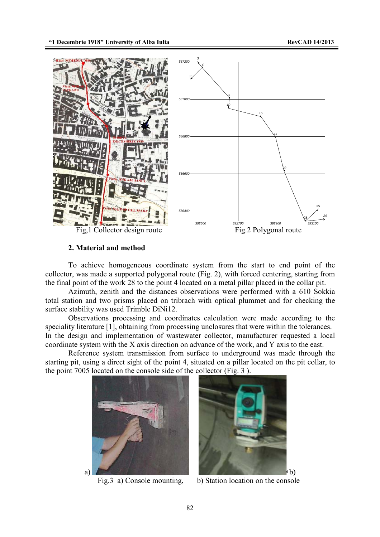

#### **2. Material and method**

 To achieve homogeneous coordinate system from the start to end point of the collector, was made a supported polygonal route (Fig. 2), with forced centering, starting from the final point of the work 28 to the point 4 located on a metal pillar placed in the collar pit.

 Azimuth, zenith and the distances observations were performed with a 610 Sokkia total station and two prisms placed on tribrach with optical plummet and for checking the surface stability was used Trimble DiNi12.

 Observations processing and coordinates calculation were made according to the speciality literature [1], obtaining from processing unclosures that were within the tolerances. In the design and implementation of wastewater collector, manufacturer requested a local coordinate system with the X axis direction on advance of the work, and Y axis to the east.

 Reference system transmission from surface to underground was made through the starting pit, using a direct sight of the point 4, situated on a pillar located on the pit collar, to the point 7005 located on the console side of the collector (Fig. 3 ).





Fig.<sub>3</sub> a) Console mounting, b) Station location on the console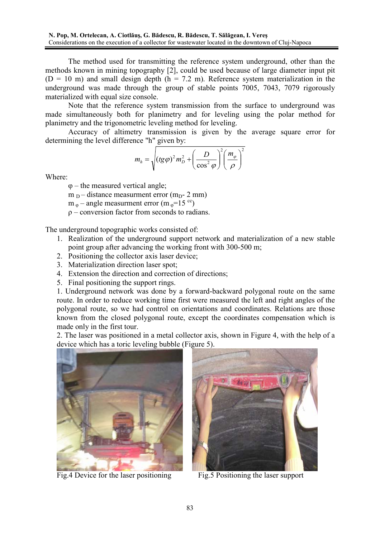The method used for transmitting the reference system underground, other than the methods known in mining topography [2], could be used because of large diameter input pit  $(D = 10 \text{ m})$  and small design depth  $(h = 7.2 \text{ m})$ . Reference system materialization in the underground was made through the group of stable points 7005, 7043, 7079 rigorously materialized with equal size console.

 Note that the reference system transmission from the surface to underground was made simultaneously both for planimetry and for leveling using the polar method for planimetry and the trigonometric leveling method for leveling.

 Accuracy of altimetry transmission is given by the average square error for determining the level difference "h" given by:

$$
m_h = \sqrt{\left(t g \varphi\right)^2 m_D^2 + \left(\frac{D}{\cos^2 \varphi}\right)^2 \left(\frac{m_\varphi}{\rho}\right)^2}
$$

Where:

φ – the measured vertical angle;

 $m_D$  – distance measurment error ( $m_D$ - 2 mm)

 $m_{\phi}$  – angle measurment error (m  $_{\phi}$ =15<sup>cc</sup>)

ρ – conversion factor from seconds to radians.

The underground topographic works consisted of:

- 1. Realization of the underground support network and materialization of a new stable point group after advancing the working front with 300-500 m;
- 2. Positioning the collector axis laser device;
- 3. Materialization direction laser spot;
- 4. Extension the direction and correction of directions;
- 5. Final positioning the support rings.

1. Underground network was done by a forward-backward polygonal route on the same route. In order to reduce working time first were measured the left and right angles of the polygonal route, so we had control on orientations and coordinates. Relations are those known from the closed polygonal route, except the coordinates compensation which is made only in the first tour.

2. The laser was positioned in a metal collector axis, shown in Figure 4, with the help of a device which has a toric leveling bubble (Figure 5).



Fig.4 Device for the laser positioning Fig.5 Positioning the laser support

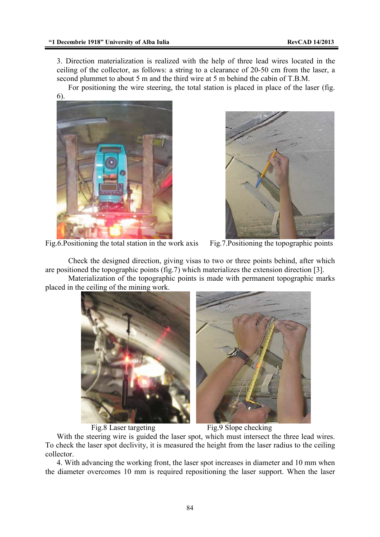3. Direction materialization is realized with the help of three lead wires located in the ceiling of the collector, as follows: a string to a clearance of 20-50 cm from the laser, a second plummet to about 5 m and the third wire at 5 m behind the cabin of T.B.M.

For positioning the wire steering, the total station is placed in place of the laser (fig.





Fig.6.Positioning the total station in the work axis Fig.7.Positioning the topographic points

 Check the designed direction, giving visas to two or three points behind, after which are positioned the topographic points (fig.7) which materializes the extension direction [3].

 Materialization of the topographic points is made with permanent topographic marks placed in the ceiling of the mining work.



Fig.8 Laser targeting Fig.9 Slope checking

With the steering wire is guided the laser spot, which must intersect the three lead wires. To check the laser spot declivity, it is measured the height from the laser radius to the ceiling collector.

4. With advancing the working front, the laser spot increases in diameter and 10 mm when the diameter overcomes 10 mm is required repositioning the laser support. When the laser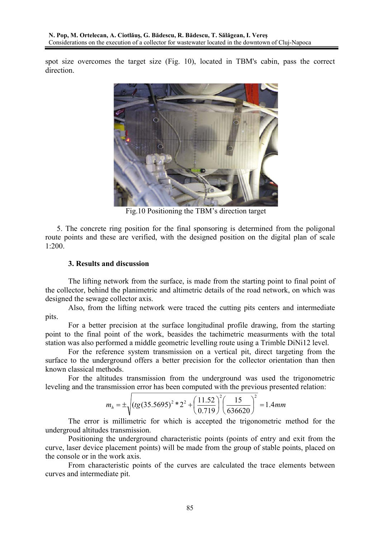spot size overcomes the target size (Fig. 10), located in TBM's cabin, pass the correct direction.



Fig.10 Positioning the TBM's direction target

5. The concrete ring position for the final sponsoring is determined from the poligonal route points and these are verified, with the designed position on the digital plan of scale 1:200.

#### **3. Results and discussion**

The lifting network from the surface, is made from the starting point to final point of the collector, behind the planimetric and altimetric details of the road network, on which was designed the sewage collector axis.

Also, from the lifting network were traced the cutting pits centers and intermediate pits.

For a better precision at the surface longitudinal profile drawing, from the starting point to the final point of the work, beasides the tachimetric measurments with the total station was also performed a middle geometric levelling route using a Trimble DiNi12 level.

For the reference system transmission on a vertical pit, direct targeting from the surface to the underground offers a better precision for the collector orientation than then known classical methods.

For the altitudes transmission from the underground was used the trigonometric leveling and the transmission error has been computed with the previous presented relation:

$$
m_h = \pm \sqrt{\left(tg(35.5695)^2 * 2^2 + \left(\frac{11.52}{0.719}\right)^2 \left(\frac{15}{636620}\right)^2\right)} = 1.4 \text{mm}
$$

The error is millimetric for which is accepted the trigonometric method for the undergroud altitudes transmission.

Positioning the underground characteristic points (points of entry and exit from the curve, laser device placement points) will be made from the group of stable points, placed on the console or in the work axis.

From characteristic points of the curves are calculated the trace elements between curves and intermediate pit.